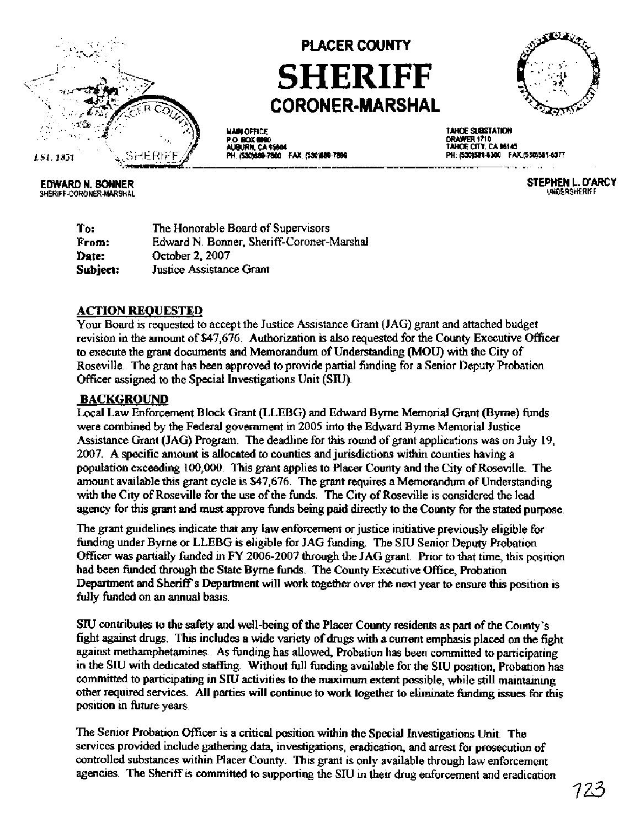

# **PLACER COUNTY SHERIFF CORONER-MARSHAL**

TO 2

**EDWARD N. BONNER** SHERIFF-CORONER-MARSHAL

**MAIN OFFICE** P.O. BOX 6090<br>AUBURN, CA 95604 PH. (530)889-7800 FAX. (530)889-7899

TAHOE SUBSTATION DRAWER 1710<br>TAHOE CITY, CA 96145 PH: (530)581-6300 FAX:(530)581-6377

> STEPHEN L. D'ARCY UNDERSHERIFF

To: The Honorable Board of Supervisors From: Edward N. Bonner, Sheriff-Coroner-Marshal Date: October 2, 2007 Justice Assistance Grant Subject:

#### **ACTION REQUESTED**

Your Board is requested to accept the Justice Assistance Grant (JAG) grant and attached budget revision in the amount of \$47,676. Authorization is also requested for the County Executive Officer to execute the grant documents and Memorandum of Understanding (MOU) with the City of Roseville. The grant has been approved to provide partial funding for a Senior Deputy Probation Officer assigned to the Special Investigations Unit (SIU).

## **BACKGROUND**

Local Law Enforcement Block Grant (LLEBG) and Edward Byrne Memorial Grant (Byrne) funds were combined by the Federal government in 2005 into the Edward Byrne Memorial Justice Assistance Grant (JAG) Program. The deadline for this round of grant applications was on July 19. 2007. A specific amount is allocated to counties and jurisdictions within counties having a population exceeding 100,000. This grant applies to Placer County and the City of Roseville. The amount available this grant cycle is \$47,676. The grant requires a Memorandum of Understanding with the City of Roseville for the use of the funds. The City of Roseville is considered the lead agency for this grant and must approve funds being paid directly to the County for the stated purpose.

The grant guidelines indicate that any law enforcement or justice initiative previously eligible for funding under Byrne or LLEBG is eligible for JAG funding. The SIU Senior Deputy Probation Officer was partially funded in FY 2006-2007 through the JAG grant. Prior to that time, this position had been funded through the State Byrne funds. The County Executive Office, Probation Department and Sheriff's Department will work together over the next year to ensure this position is fully funded on an annual basis.

SIU contributes to the safety and well-being of the Placer County residents as part of the County's fight against drugs. This includes a wide variety of drugs with a current emphasis placed on the fight against methamphetamines. As funding has allowed, Probation has been committed to participating in the SIU with dedicated staffing. Without full funding available for the SIU position. Probation has committed to participating in SIU activities to the maximum extent possible, while still maintaining other required services. All parties will continue to work together to eliminate funding issues for this position in future years.

The Senior Probation Officer is a critical position within the Special Investigations Unit. The services provided include gathering data, investigations, eradication, and arrest for prosecution of controlled substances within Placer County. This grant is only available through law enforcement agencies. The Sheriff is committed to supporting the SIU in their drug enforcement and eradication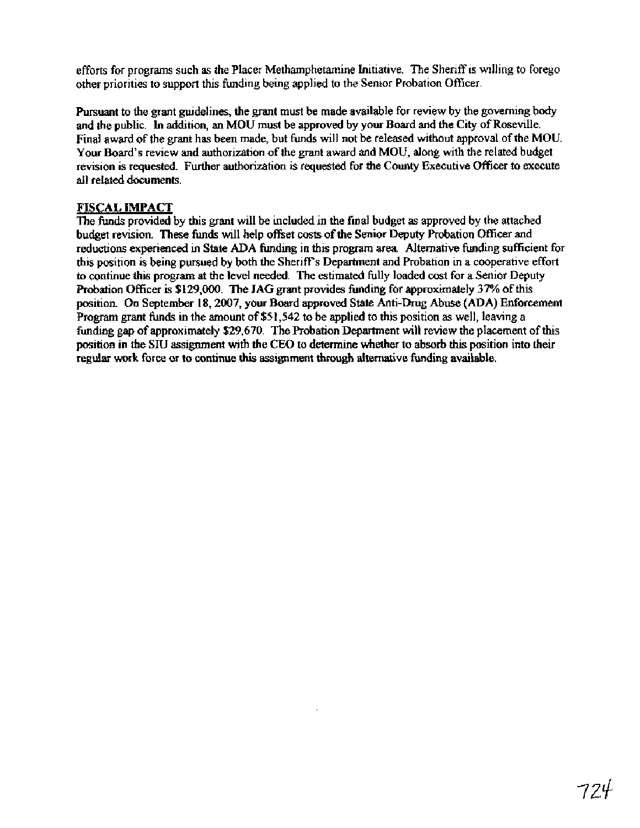efforts for programs such as the Placer Methamphetamine Initiative. The Sheriff is willing to forego other priorities to support this funding being applied to the Senior Probation OMicer.

Pursuant to the grant guidelines, the grant must be made available for review by the governing body and the public. In addrtion, an MOU must be approved by your Board and the City of Roseville. Final award of the grant has been made, but funds will not be released without approval of the MOU. Your Board's review and authorization of the grant award and MOU, along with the related budget revision is requested. Further authorization is requested for the County Executive Officer to execute all related documents.

#### **FISCAL IMPACT**

The funds provided by this grant will be included in the final budget as approved by the attached budget revision. These funds will help offset costs of the Senior Deputy Probation Officer and reductions experienced in State ADA funding in this program **area** Alternative funding sufficient for this position is being pursued by both the Sheriff's Department and Probation in a cooperative effort to continue this program at the level needed. The estimated fully loaded cost for a Senior Deputy Probation Officer is **\$129,000.** The JAG grant provides funding for approximately 37% of this position. **On** September **18,2007,** your Board approved State Anti-Drug Abuse (ADA) Enforcement Program grant funds in the amount of \$51,542 to be applied to this position as well, leaving a funding gap of approximately \$29,670. The Probation Department will review the placement of this position in the **SlU** assignment with the CEO to determine whether to absorb this position into their regular work force or to continue **this** assignment through alternative funding available.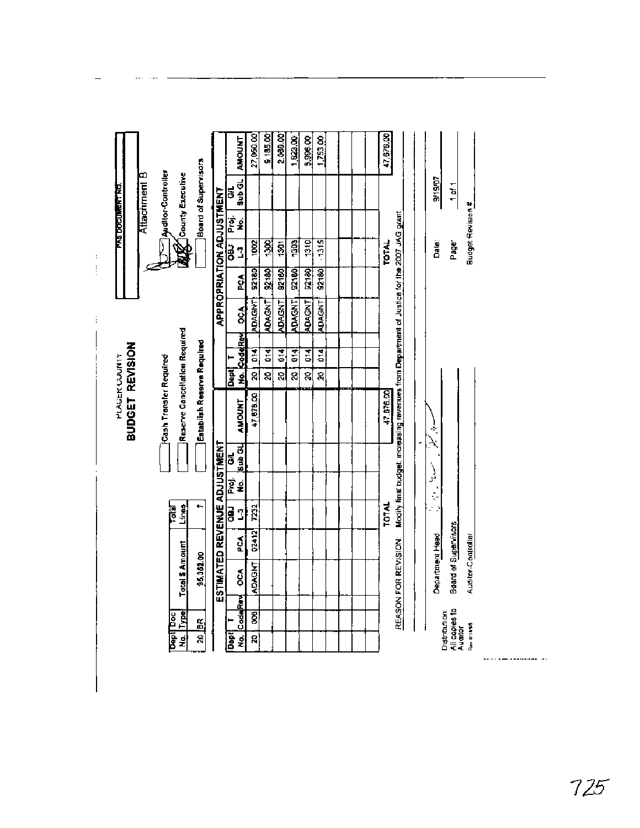$1,823.00$  $5.996.00$ 9,185.00 2.089.00  $1.753.00$ 27,050.00 47,676,00 **THOONY Board of Supervisors Muditor-Controller** Attachment B **MO** County Executive  $\frac{GH}{|Sub \text{ GL}|}$ 3/19/07  $1$  of 1 **PAS DOCUMENT NO. APPROPRIATION ADJUSTMENT** Budget Revision.# Proj.<br>No. Modify final budget, increasing revenues from Department of Justice for the 2007 JAG grant  $\overline{\mathbf{z}}$ <u>ब्ध</u> 1303 1310  $-1315$ Date: Page  $|301|$  $\frac{1}{2}$ **TOTAL** <sup>:</sup>  $\frac{1}{2}$  $\frac{32180}{2}$  $92180$ 92180 92180 **9218D** 92150  $\boldsymbol{\delta}$ **ADAGNT ADAGNT ADAGNT ADAGNT** ADAGNT **ADAGNT TC** CodeRey OCA Ť Reserve Cancellation Required Establish Reserve Required BUDGET REVISION 20 014  $\mathbf{F}$  $\overline{a}$  $\overline{6}$  $\overline{5}$  $\overline{5}$ PLACER COUNTY Gash Transfer Required **E**<br>8 ब्र ৱ  $\overline{a}$ 20 इ 47,676.00 47,678.00 **AMOUNT** ķ,  $\mathbb{A}$ ŕ ESTIMATED REVENUE ADJUSTMENT ່ G/L<br>|ຣub GL )<br>پر Proj.<br>No. ζ. aa 1<br>L3 **Total**<br>Lines F 7232 **TOTAL** 83 Board of Supervisors 02412 PCA Department Head Auditor-Controller REASON FOR REVISION: Total \$ Amount 96,362.00 **ADAGHT OCA** No. CodeRev Distribution:<br>All copies to<br>Auditor<br><sub>Rev</sub>erings  $\overline{\mathbf{g}}$ No. Type **Dept Doc**  $\tilde{\mathbf{a}}$ ē  $\overline{a}$ 20

\_\_\_\_\_\_\_\_\_\_\_\_\_\_\_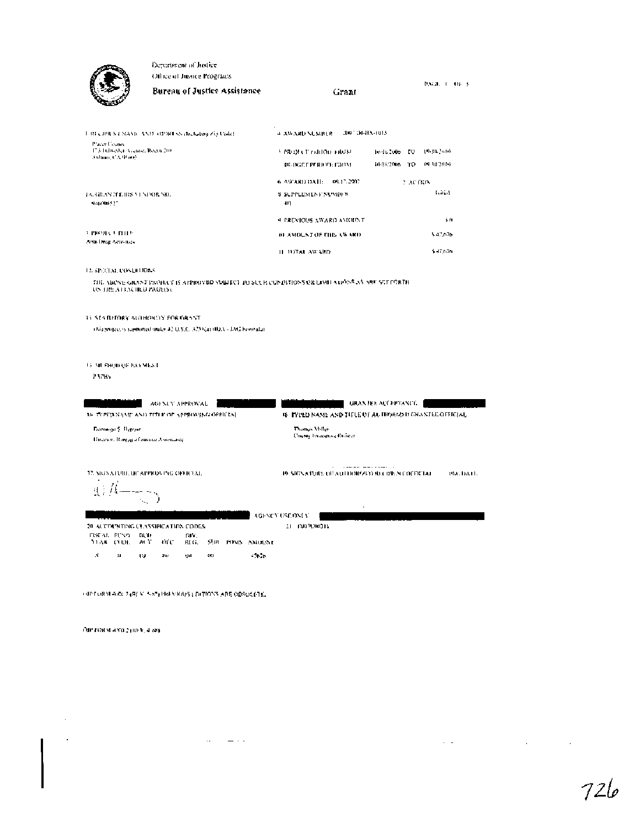

Department of Justice Other of Justice Programs

 $P_x \text{V}(B) = 1 - 116 - 5$ Bureau of Justice Assistance Grant

а дусдар ХСМИДК — 200° ОБВХ-(015 THREE DRUNE NAME AND ADDRESS (Including Zip Code). Placer Coanis<br>173 Folweiler, Veenoe, Roeon 200<br>3 olimai, CA 950 (2 3. PROJECT PERIOD FROM Be-H.2006 FO 69-30-2016 REQR20H6 TO #9 30'2014 BUIXED PERIOD: E30M 6. ASSARD DATE: 09-12-2907. 2 ACTRIN TA, GRANITE IRS VI NDOR NO. **Addis S-SUPPLEMENT NUMBER**  $\Phi$  (or  $\Phi$  )  $\Xi$  $401\,$  $\pm 0$ A PREVIOUS AWARD AMOUNT. **SPROJECT BILLS 10 AMOUNT OF THIS AWARD** \$40,676 Anti-Deug Acas neo IL TOTAL AWARD. \$47,676

#### 12. special conditions.

SIL AROVE GRANT PROBLET IS APPROVED SOBJECT TO SUCH CONDITIONS OR LOBITATIONS AS ARE SUFFORTH.<br>UN THE AT EXCIRCI PAGE(S).

15 SEA REFORMATO HORD Y FOR GRANT

abis project is supported index 42 U.S.C. 3759(a) (IDA) - JAC Football

**13 ML RIGHT OF PAYMENT** 

**FAPRS** 

| AGENCY APPROVAL<br>10 TOPED SAME AND TITLE OF APPROVING OFFICIAL                               | <b>GRANDEL ACCEPTANCE</b><br>16 PYPED NAME AND TITLE OF AUTHORIZED GRANTEE OFFICIAL |
|------------------------------------------------------------------------------------------------|-------------------------------------------------------------------------------------|
| <b>Dominist S. Flymar</b><br><b>Birector, Bareau of sustite A systemed</b>                     | Thomas Miller<br>Charas Impeanoe Ordeer                                             |
| 12. SIGNATURE OF APPROVING OFFICIAL                                                            | 19 SIGNATURE OF AUTHOR/JUD BECORD OFFICIAL<br>TACTEREL                              |
|                                                                                                | $\cdot$<br>AGENCY USE ONLY                                                          |
| 20 ACEDI NEUNG CLASSIFICATION CODES.                                                           | <b>DUPTARDIS</b><br>21.                                                             |
| FINCAL FIND<br>ĎΝ.<br>DJ 10<br><b>YEAR CHILL</b><br>anc.<br>SURFINISH AMOUNT<br>AL L'<br>RI G. |                                                                                     |
| x<br>$-11.16$<br>碘丁<br>11<br>w<br>Xu.<br>明日                                                    |                                                                                     |

OIF LORN ARE 2 (REV. SIST) BREVIOUS (IDITIONS ARE OBSOLD LE.

OR FORM AND STREET 4 380

 $\sim$  $\bar{z}$ 

 $\sim 10^{11}$  and  $\sim 10^{11}$  $\mathcal{L}(\mathbf{X},\mathbf{X})$  and  $\mathcal{L}(\mathbf{X},\mathbf{X})$ 

 $\mathcal{L}(\mathcal{A})$  and  $\mathcal{L}(\mathcal{A})$  and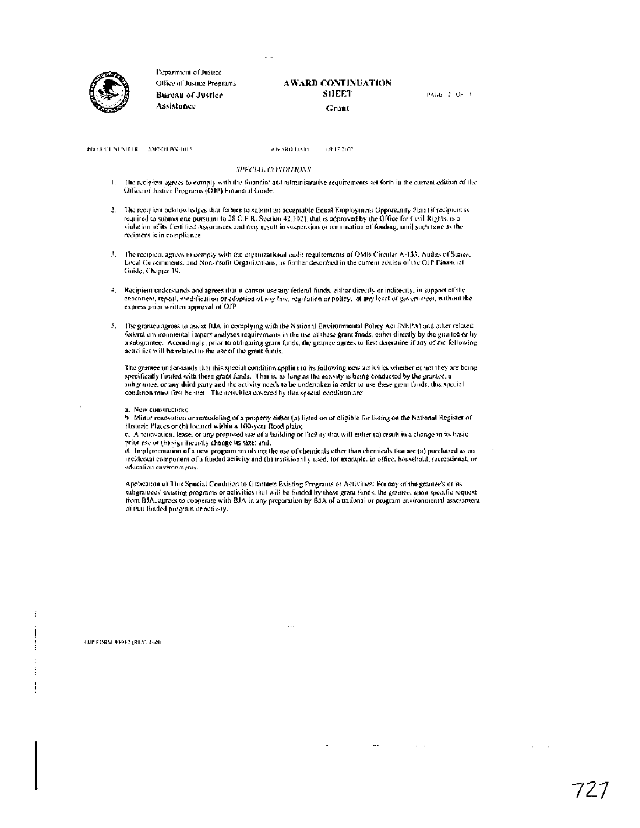

Department of Justice. Office of Justice Programs Bureau of Justice Assistance

#### AWARD CONTINUATION **SHEET** Grant

PAGE 2, OF 3

PROJECT SEXUILE 2007-DERN-1015

on in plan ASSARD DATE

#### SPECIAL CONDITIONS

- The recipiem agrees to comply with the financial and administrative requirements set forth in the current edition of the  $\mathbf{L}$ Office of Justice Pregnams (OB) Financial Guide.
- 2. The recipient acknowledges that failure to submit an acceptable Equal Employment Opportunity Plan (if recipient is required to submit one pursuant to 28 C.F.R. Section 42,302), that is approved by the Office for Civil Rights, is a violation of its Certified Assurances and may result in sespension or termination of funding, until such tane as the recipient is in compliance.
- 3. The recipient agrees to comply with the organizational audit requirements of OMB Circular A-135, Audits of States, Local Governments, and Non-Profit Organizations, as further described in the current edition of the GJP Financial Guide, Chapter 19.
- 4. Recipient understands and agrees that it cannot use any federal funds, either directly or indirectly, in support of the ensement, repeal, modification or adoption of my law, regulation or policy. at any level of government, without the express prior written approval of OJP
- 5. The granice agrees to assist BIA in complying with the National Environmental Policy Act (NEPA) and other related federal onvariantal impact analyses requirements in the use of these grant funds, either directly by the granted or by a subgrantee. Accordingly, prior to obligating grant funds, the grantee agrees to first determine if any of the following senvities will be related to the use of the grant funds.

The grantee understands that this special condition applies to its following new activities whether or not they are being specifically finited with these grant funds. That is, as lung as the activity is being conducted by the grantee, a subgrouves, or any third party and the activity needs to be undertaken in order to use these grant funds, this special condition must first be met. The activities covered by this special condition are:

#### a. New construction:

b. Minor renovation or remodeling of a property either (a) listed on or eligible for listing on the National Register of Historic Places or (h) located within a 100-year Rood plain;

c. A renovation, lease, or any proposed use of a hailding or facility that will either (a) result in a change in its has icprior use of (b) significantly change its size: and,

d. Implementation of a new program involving the use of chemicals other than chemicals that are (a) purchased as an incidental component of a funded scilvity and (b) traditionally used, for example, in office, household, recreational, or education environments.

Appheanon of This Special Condition to Grantee's Existing Programs or Activities: For any of the grantee's or its subgramees' existing programs or activities that will be funded by these grant funds, the grantee, upon specific request from BJA, agrees to cooperate with BJA in any preparation by BJA of a national or program environmental assessment of that funded program or activ-ty.

 $\overline{\phantom{a}}$ 

 $\sim$   $-1$ 

OFFFORM 40002 (RLV, 4-38)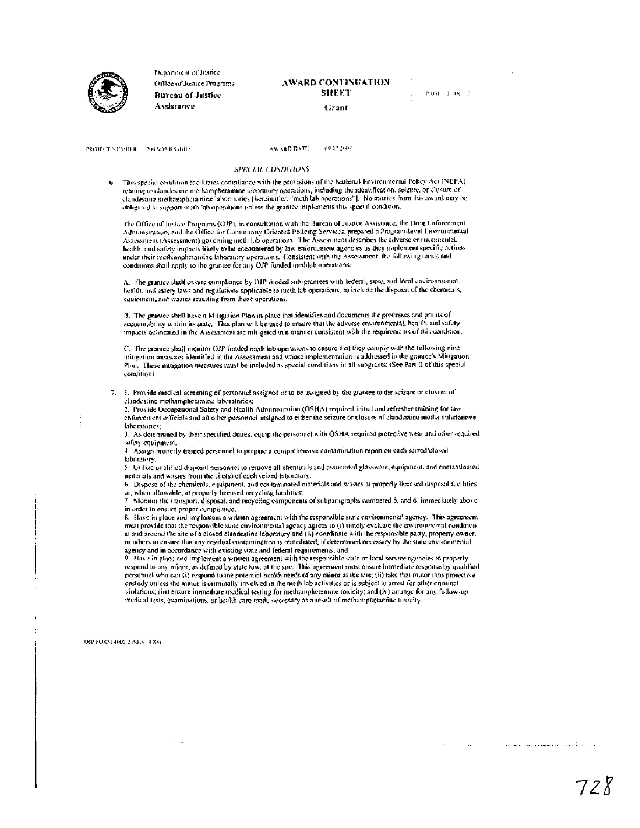

Department of Jesuice Office of Justice Programs **Bureau of Justice** Assistance

## AWARD CONTINUATION SHEET

PART 1-00-3

Grant

PROJECT NEMITAR 2003/02/BN-012

AN VED DATE 49.17.2007

#### SPECIAL CONDITIONS

This special condition (acilitates compliance with the provisions of the National Environmental Policy Act (NEPA). ù. retating to clandestine methamphetamine laboratory operations, including the identification, seizure, or closure of clandestine methomologiquiee laboratories (hereinatter, "meth lab operetions"). No monies from this award may be obligated to support meth lab operations unless the grantee implements this special condition.

The Office of Instice Programs (OJP), in consultation with the Hurean of Justice Assistance, the Dreg Luforeement Administration, and the Öffice for Community Oriented Poticing Services, prepared a Program-level Environmental Assessment (Assessment) governing meth lab operations. The Assessment describes the adverse environmental, bealth, and safety impacts likely to be encountered by faw enforcement agencies as they implement specific actions under their methanological definitions. Consistent with the Assessment, the following terms and conditions shall apply to the grantee for any OJP funded methlab operations:

A. The grantice shall cosine compliance by OJP funded sub-grantees with federal, state, and local cavironmental. health, and safety laws and regulations applicable to meth lab operations, to include the disposal of the chemicals, equipment, and wastes resulting from those operations.

B. The grantee shall have a Mitigation Plats in place that identifies and documents the processes and primis of accountability within its state. This plan will be used to cristre that the adverse environmental, health, and safety impacts demonted in the Assessment are mitigated in a manner consistent with the requirements of this condition.

C. The grantee shall monitor GIP funded meth lab operations to custore that they comply with the following nine mitgation measures identified in the Assessment and whose implementation is addressed in the grantee's Mittgatton. Plan. These mitigation measures must be included as special conditions in all subgrants: (See Part II of this special condition)

7. 1. Provide medical screening of personnel assigned or to be assigned by the grantee to the scizure or closure of clandestine methamphetamine laboratories;

2. Provide Occupational Safety and Health Administration (OSHA) required initial and refresher training for law enforcement officials and all other personnel assigned to either the scizure or closure of clandestine methanophetamore laboratories;

3. As determined by their specified duties, equip the personnel with OSHA required protective wear and other required safery equipment.

4. Assign properly trained personnel to propere a comprehensive contamination report on each scized closed laboratory

5. Utilize qualified disposal personnel to remove all chemicals and associated glassware, equipment, and contaminated materials and wastes from the sire(s) of each seized laboratory:

6. Dispose of the chemicals, equipment, and contaminated materials and wastes at properly licensed disposel facilities. or, when allowable, at properly licensed recycling facilities:

7. Morator the transport, disposal, and recycling components of subparagraphs numbered 5, and 6, immediately above in order to ensure proper compliance,

8. Have in place and implement a written agreement with the responsible state covironmental agency. This agreement must provide that the responsible state environmental agency agrees to (i) timely evaluate the environmental canditionat and around the site of a closed clandestine faboratory and (ii) coordinate with the responsible party, property owner. or others in ensure that any residual contamination is remediated, if determined necessary by the state environmental agency and in accordance with existing state and federal requirements; and

9. Have in place and implement a written agreement with the responsible state or local service agencies to properly respond to any minor, as defined by state law, at the sne. This agreement must ensure immediate response by qualitical personnel who can (i) respond to the potential health needs of any minor at the site; (ii) take that mover into protective costody unless the minor is enminally involved in the meth lab activities or is subject to arrest for other enminal violations; (iii) ensure immediate medical testing for methamphetannine toxicity; and (iv) arrange for any follow-up medical tests, examinations, or health care made secessary as a result of methamphotamine tuxicity.

DRI FORM 4000 219(£N) 4.83)

البارية ولإيداد المروسي والوارد والتاريب المتارين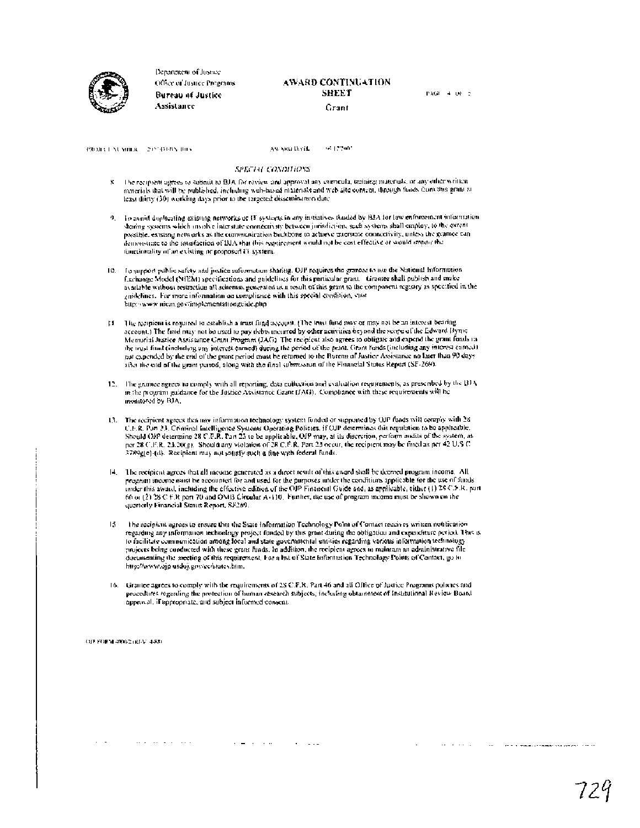

Department of Instee Office of Justice Programs. Bureau of Justice Assistance

#### AWARD CONTINUATION SHEET Crant

PAGE 4, OF 5

 $\alpha = \omega \left( \omega \right)$  ,  $\omega$ 

PROJECT NUMBER - 2055BERN 1003

As ARD DAYE 16.170900

#### **SPECIAL CONDITIONS**

- The recupient agrees to submit to BJA for review and approval any curricula, training materials, or any other written x materials that will be published, including web-based materials and web site content, dirough funds from this grain at least dirty (30) working days prior to the targeted dissemination date
- 9. To avoid duplicating existing networks of IT systems in any initiatives thould by BJA for law enforcement information sharing systems which involve interstate connectivity between jurisdiction, seen systems shall employ, to the extent possible, existing networks as the communication buckbone to actueve interstate connectivity, unless the gramee can demonstrate to the sausfaction of BIA that this requirement would not be cost effective or would empair the functionality of an existing or proposed IT system.
- 10. In support public safety and justice information sharing, OJP requires the grantee to use the National Information Exchange Model (MEM) specifications and guidelines for this particular grant. Grantee shall publish and make available without restriction all schemas generated as a result of this grant to the component registry as specified in the guidelines. For more information on compliance with this special condition, visat http://www.uiem.gov/implementationguide.php
- 14. The recipiem is required to establish a trust flind account, (The trust fund may or may not be an interest bearing account.) The linid may not be used to pay debts incurred by other activities beyond the scope of the Edward Byrne Memorial Justice Assistance Grant Program (JAG). The recipient also agrees to obligate and expend the grant funds in the trial final tinefactory interest earned) during the period of the grant. Grant funds (including any interest camed) and expendical part in the rest camed in the control camed in the control of the grant period mass he after the end of the grant puriod, along with the final submission of the Financial Status Report (SF-269).
- 12. The grantee agrees to comply with all reporting, data collection and evaluation requirements, as presenbed by the BFA in the program guidance for the Justice Assistance Grant (JAG). Compliance with these requirements will be monitored by BJA.
- 13. The recipient agrees that may information technology system funded or supported by OJP funds will comply with 28-C.F.R. Pan 23. Criminal Intelligence Systems Operating Policies, if OJP determines this regulation to be applicable.<br>Should OJP determine 28 C.F.R. Pan 23 to be applicable, OJP may, at its discretion, perform and<br>its of t 3789g(c)-(d). Recipient may not satisfy such a fine with federal funds.
- 14. The recipient agrees that all meome generated as a direct result of this award shall be decryed program income. All program meome naist be accounted for and used for the purposes under the conditions applicable for the use of funds under this award, including the effective edition of the OP Financial Guide and, as applicable, citaer (1) 28 C.F.R. part 66 or (2) 28 C F.R part 70 and QMB Circular A-110. Further, the use of program means must be shown on the quarterly Financial Status Report, SF269.
- The recipient agrees to ensure that the State Information Technology Point of Contact receives written notification  $15$ regarding any information technology project funded by this grant during the obligation and expenditure period. This is to facilitate communication among local and state governmental entities regarding various information technology projects being conducted with these grant funds. In addition, the recipient agrees to maintain an administrative file documenting the accting of this requirement. For a list of State Information Technology Points of Contact, go to http://www.ojp.usdoj.gov/ec/states.htm.
- 16. Grantee agrees to comply with the requirements of 28 C.F.R. Part 46 and all Office of fustice Programs policies and procedures regarding the protection of human research subjects, including obtainment of Institutional Review Board approval, if appropriate, and subject informed consent-

فكفاء والمستحدث والقائد

OF FORM 40002 (RFV 4-88)

and the second control

 $\mathcal{L}=\mathcal{L}$ 

The contract and completely and contract the con-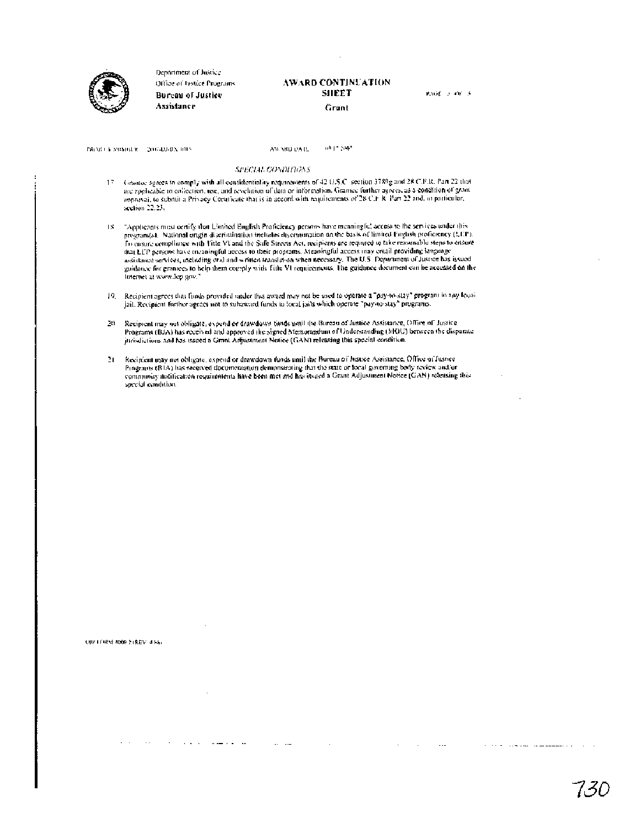

Department of Justice Office of bistice Programs. Bureau of Justice Assistance

#### AWARD CONTINUATION SHEET Grunt

PAGE is locus

PROBLEMS WINDOW COLLEGES AND

 $0\Delta$  (  $^{\circ}$   $100^{\circ}$ AW YRD DATE

#### SPECIAL CONDITIONS

- Grantee agrees to comply with all contidentiality requirements of 42 U.S.C. section 3789g and 28 C.F.R. Part 22 that 17 use applicable to collection, use, and revelation of data or information. Gramee further agrees, as a condition of gram approvai, to submit a Privacy Cortatione that is in accord with requirements of 28 C.F R Part 22 and, in particular, section 22.23.
- 18. "Applicants must certify that Limited Euglish Proficiency persons have meaningful access to the services under this represents ontained in the distribution includes discrimination on the basis of limited English proficemery (1.11").<br>In construction, National original discrimination includes discrimination on the basis of limited English assistance services, including and society with fitte Willenmonte, the major and social processing maginal services, including and society of passible when necessary. The U.S. Department on he accessed on the guidance for internet at www.lep.gov."
- 19. Recipient agrees that fluids provided under this award may not be used to operate a "pay-to-slay" program in any focal jail. Recipient forther agrees not to subaward funds to local jails which operate "pay-to-stay" programs.
- 20 Recipient may not obligate, expend or drawdown tunds until the Bureau of Justice Assistance, Office of Justice Programs (BJA) has received and approved the signed Memorandum of Understanding (MOU) between the disparate jurisdictions and has issued a Grant Adjustment Notice (GAN) releasing this special condition.
- Recipient may not obligate, expend or drawdown funds until the Bureau of Instite Assistance, Office of Instree  $\mathbf{E}$ Programs (BTA) has received documentation demonstrating that the state or local governing body review and or community notification requirements have been met and has issued a Grant Adjustment Notice (GAN) releasing this special condition.

OP LORN 4009 2 (REV. 4 Kb)

 $\ldots \ldots \ldots \ldots$ 

 $\mathcal{L}_{\text{max}}$  and  $\mathcal{L}_{\text{max}}$ 

7.31

 $\mathcal{L}$  and  $\mathcal{L}$  are the state of the sequence of  $\mathcal{L}$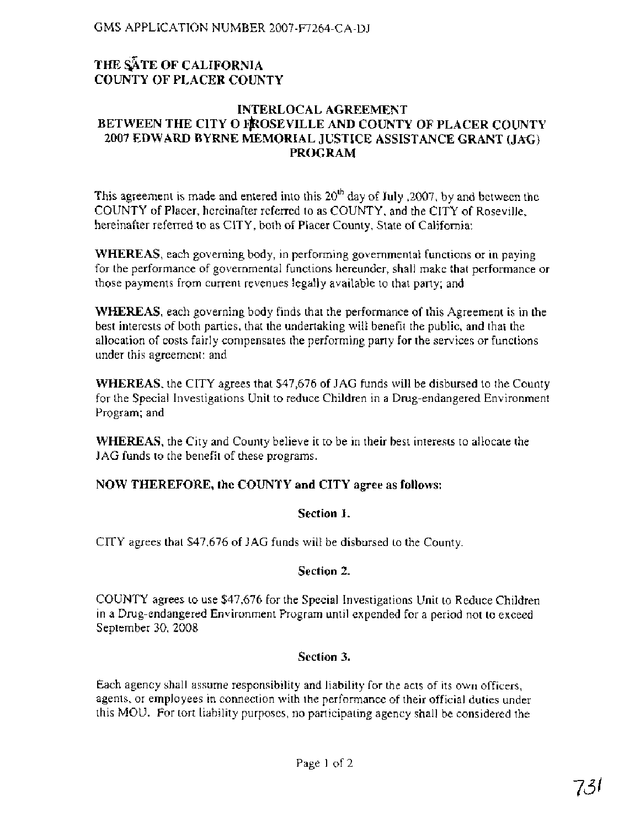## THE SATE OF CALIFORNIA **COUNTY OF PLACER COUNTY**

#### **INTERLOCAL AGREEMENT**  BETWEEN THE CITY O FROSEVILLE AND COUNTY OF PLACER COUNTY **2007 EDWARD BYRNE MEMORIAL JUSTICE ASSISTANCE GRANT (JAC) PROGRAM**

This agreement is made and entered into this  $20<sup>th</sup>$  day of July , 2007, by and between the COUNTY of Placer, hereinafter referred to as COUNTY, and the CITY of Roseville, hereinafter referred to as CITY, both of Placer County, State of California:

**WHEREAS,** each governing body, in performing governmental functions or in paying for the performance of governmental functions hereunder, shall make that performance or those payments from current revenues legally available to that party; and

**WHEREAS,** each governing body finds that the performance of this Agreement is in the best interests of both parties, that the undertaking will benefit the public, and that the allocation of costs fairly compensates the performing party for the services or functions under this agreement: and

**WHEREAS,** the CITY agrees that \$47,676 of JAG funds will be disbursed to the County for the Special Investigations Unit to reduce Children in a Drug-endangered Environment Program; and

**WHEREAS,** the City and County believe it to be in their best interests to allocate the JAG funds to the benefit of these programs.

## **NOW THEREFORE, the COUNTY and CITY agree as follows:**

#### **Section 1.**

CITY agrees that \$47,676 of JAG funds will be disbursed to the County

#### **Section 2.**

COUNTY agrees to use \$47,676 for the Special Investigations Unit to Reduce Children in a Drug-endangered Environment Program until expended for a period not to exceed September 30, 2008

#### **Section 3.**

Each agency shall assume responsibility and liability for the acts of its own officers, agents, or employees in connection with the performance of their official duties under this MOU. For tort liability purposes, no participating agency shall be considered the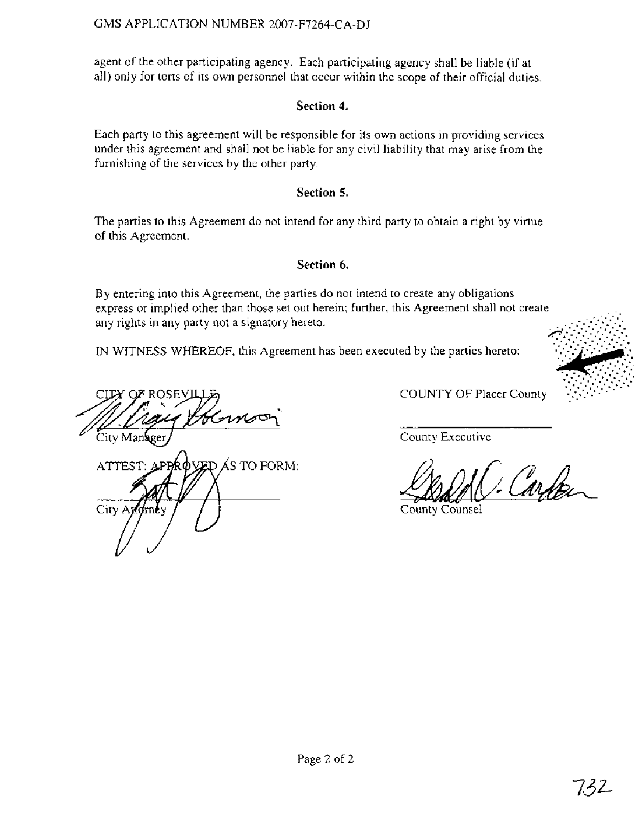agent of the other participating agency. Each participating agency shall be liable (if at all) only for torts of its own personnel that occur within the scope of their official duties.

## Section 4.

Each party to this agreement will be responsible for its own actions in providing services under this agreement and shall not be liable for any civil liability that may arise from the furnishing of the services by the other party.

## Section 5.

The parties to this Agreement do not intend for any third party to obtain a right by virtue of this Agreement.

## Section 6.

By entering into this Agreement, the parties do not intend to create any obligations express or implied other than those set out herein; further, this Agreement shall not create any rights in any party not a signatory hereto.

IN WITNESS WHEREOF, this Agreement has been executed by the partics hereto:

CITY OF ROSEVI Herne City Manager

APPROVED AS TO FORM: ATTEST: City Andrney

COUNTY OF Placer County

County Executive

Carten

County Counsel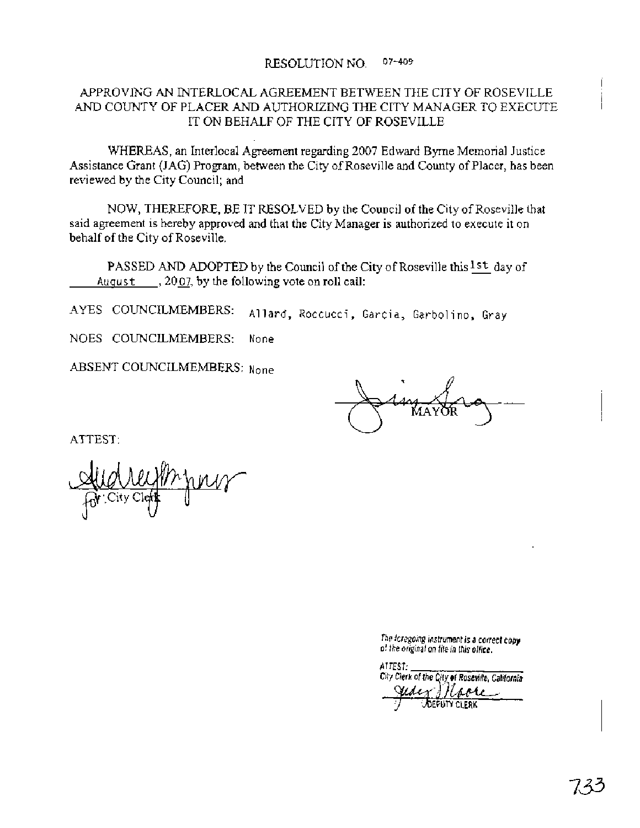#### RESOLUTION NO. 07-409

#### APPROVING AN INTERLOCAL AGREEMENT BETWEEN THE CITY OF ROSEVILLE AND COUNTY OF PLACER AND AUTHORIZING THE CITY MANAGER TO EXECUTE IT ON BEHALF OF THE CITY OF ROSEVILLE

WHEREAS, an Interlocal Agreement regarding 2007 Edward Byrne Memorial Justice Assistance Grant (JAG) Program, between the City of Roseville and County of Placer, has been reviewed by the City Council; and

NOW, THEREFORE, BE IT RESOLVED by the Council of the City of Roseville that said agreement is hereby approved and that the City Manager is authorized to execute it on behalf of the City of Roseville.

PASSED AND ADOPTED by the Council of the City of Roseville this <sup>1st</sup> day of August  $\ldots$ , 2007, by the following vote on roll call:

AYES COUNCILMEMBERS: Allard, Roccucci, Garcia, Garbolino, Gray

NOES COUNCILMEMBERS: None

ABSENT COUNCILMEMBERS: None

ATTEST:

**The** fcrcgoing instrument **is a** correct **copy**  of *the* original on fife **in this office.** 

ATTEST: City Clerk of the City of Roseville, California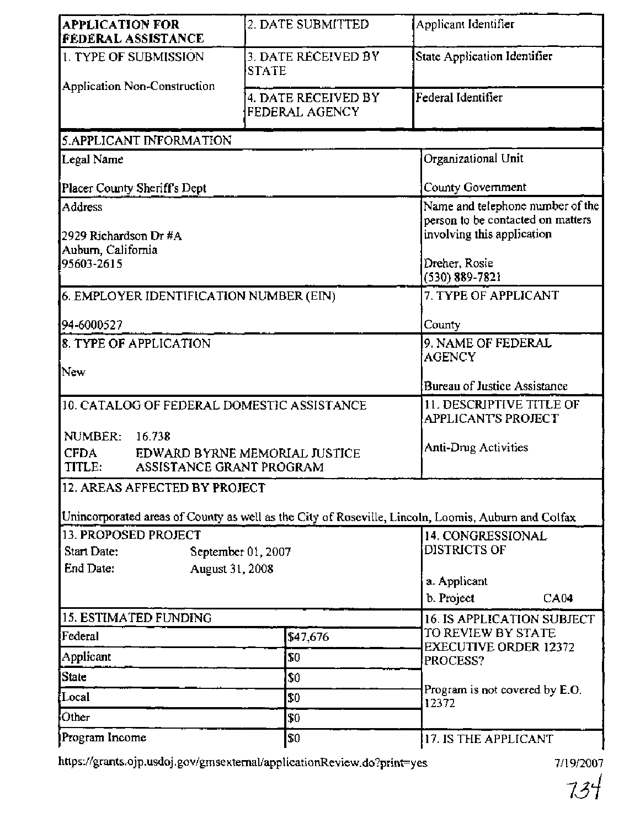| <b>APPLICATION FOR</b><br><b>FEDERAL ASSISTANCE</b>                                                 | 2. DATE SUBMITTED                     | Applicant Identifier                                                                                |  |  |  |
|-----------------------------------------------------------------------------------------------------|---------------------------------------|-----------------------------------------------------------------------------------------------------|--|--|--|
| 1. TYPE OF SUBMISSION                                                                               | 3. DATE RECEIVED BY<br><b>STATE</b>   | State Application Identifier                                                                        |  |  |  |
| Application Non-Construction                                                                        | 4. DATE RECEIVED BY<br>FEDERAL AGENCY | Federal Identifier                                                                                  |  |  |  |
| 5.APPLICANT INFORMATION                                                                             |                                       |                                                                                                     |  |  |  |
| Legal Name                                                                                          |                                       | Organizational Unit                                                                                 |  |  |  |
| Placer County Sheriff's Dept                                                                        | County Government                     |                                                                                                     |  |  |  |
| Address<br>2929 Richardson Dr #A<br>Aubum, California                                               |                                       | Name and telephone number of the<br>person to be contacted on matters<br>involving this application |  |  |  |
| 95603-2615                                                                                          | Dreher, Rosie<br>$(530) 889 - 7821$   |                                                                                                     |  |  |  |
| 6. EMPLOYER IDENTIFICATION NUMBER (EIN)                                                             |                                       | 7. TYPE OF APPLICANT                                                                                |  |  |  |
| 94-6000527                                                                                          |                                       | County                                                                                              |  |  |  |
| 8. TYPE OF APPLICATION                                                                              |                                       | 9. NAME OF FEDERAL<br><b>AGENCY</b>                                                                 |  |  |  |
| New                                                                                                 |                                       | Bureau of Justice Assistance                                                                        |  |  |  |
| 10. CATALOG OF FEDERAL DOMESTIC ASSISTANCE<br>NUMBER:<br>16.738                                     |                                       | 11. DESCRIPTIVE TITLE OF<br><b>APPLICANT'S PROJECT</b>                                              |  |  |  |
| <b>CFDA</b><br>EDWARD BYRNE MEMORIAL JUSTICE<br>TITLE:<br>ASSISTANCE GRANT PROGRAM                  | Anti-Drug Activities                  |                                                                                                     |  |  |  |
| 12. AREAS AFFECTED BY PROJECT                                                                       |                                       |                                                                                                     |  |  |  |
| Unincorporated areas of County as well as the City of Roseville, Lincoln, Loomis, Auburn and Colfax |                                       |                                                                                                     |  |  |  |
| 13. PROPOSED PROJECT<br>Start Date:<br>September 01, 2007<br>End Date:<br>August 31, 2008           |                                       | 14. CONGRESSIONAL<br><b>DISTRICTS OF</b>                                                            |  |  |  |
|                                                                                                     |                                       | a. Applicant<br>b. Project<br>CA04                                                                  |  |  |  |
| 15. ESTIMATED FUNDING                                                                               |                                       | 16. IS APPLICATION SUBJECT                                                                          |  |  |  |
| Federal                                                                                             | \$47,676                              | TO REVIEW BY STATE<br><b>EXECUTIVE ORDER 12372</b>                                                  |  |  |  |
| Applicant                                                                                           | \$0                                   | PROCESS?                                                                                            |  |  |  |
| <b>State</b>                                                                                        | \$0                                   | Program is not covered by E.O.                                                                      |  |  |  |
| Local                                                                                               | \$0                                   |                                                                                                     |  |  |  |
| Other                                                                                               | \$0                                   |                                                                                                     |  |  |  |
| Program Income                                                                                      | \$0                                   | 17. IS THE APPLICANT                                                                                |  |  |  |

https://grants.ojp.usdoj.gov/gmsexternal/applicationReview.do?print=yes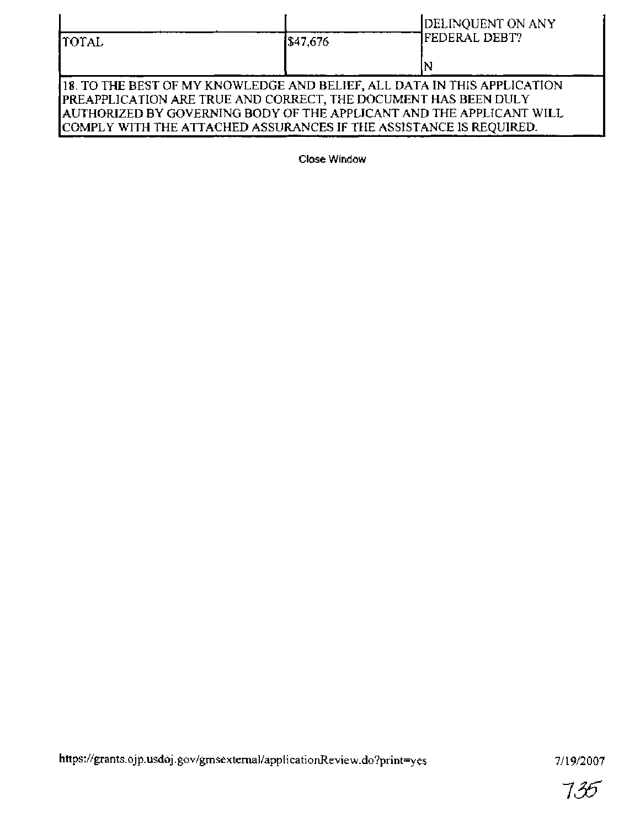| <b>TOTAL</b>                                                                                                                                                                                                                                                                               | 1\$47,676 | DELINQUENT ON ANY<br><b>FEDERAL DEBT?</b> |  |  |
|--------------------------------------------------------------------------------------------------------------------------------------------------------------------------------------------------------------------------------------------------------------------------------------------|-----------|-------------------------------------------|--|--|
|                                                                                                                                                                                                                                                                                            |           |                                           |  |  |
| 118. TO THE BEST OF MY KNOWLEDGE AND BELIEF, ALL DATA IN THIS APPLICATION<br>PREAPPLICATION ARE TRUE AND CORRECT, THE DOCUMENT HAS BEEN DULY<br>AUTHORIZED BY GOVERNING BODY OF THE APPLICANT AND THE APPLICANT WILL<br>COMPLY WITH THE ATTACHED ASSURANCES IF THE ASSISTANCE IS REQUIRED. |           |                                           |  |  |

**Close Window**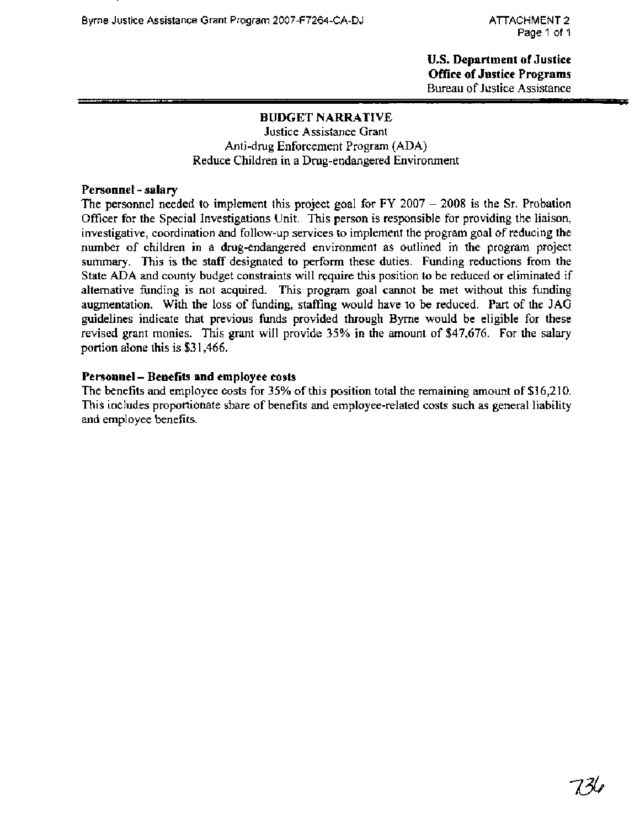**U.S. Department of Justice Office of Justice Programs**  Bureau of Justice Assistance - - - -

#### **BUDGET NARRATIVE**

Justice Assistance Grant Anti-drug Enforcement Program (ADA) Reduce Children in a Drug-endangered Environment

#### **Personnel** - **salary**

The personnel needed to implement this project goal for  $FY$  2007  $-$  2008 is the Sr. Probation Officer for the Special Investigations Unit. This person is responsible for providing the liaison, investigative, coordination and follow-up services to implement the program goal of reducing the number of children in a drug-endangered environment as outlined in the program project summary. This is the staff designated to perform these duties. Funding reductions from the State ADA and county budget constraints will require this position to be reduced or eliminated if alternative funding is not acquired. This program goal cannot be met without this funding augmentation. With the loss of funding, staffing would have to be reduced. Part of the JAG guidelines indicate that previous funds provided through Byrne would be eligible for these revised grant monies. This grant will provide 35% in the amount of \$47,676. For the salary portion alone this is **\$3** 1,466.

#### **Personnel** - **Benefits and employee costs**

The benefits and employee costs for 35% of this position total the remaining amount of \$16,210. This includes proportionate share of benefits and employee-related costs such as general liability and employee benefits.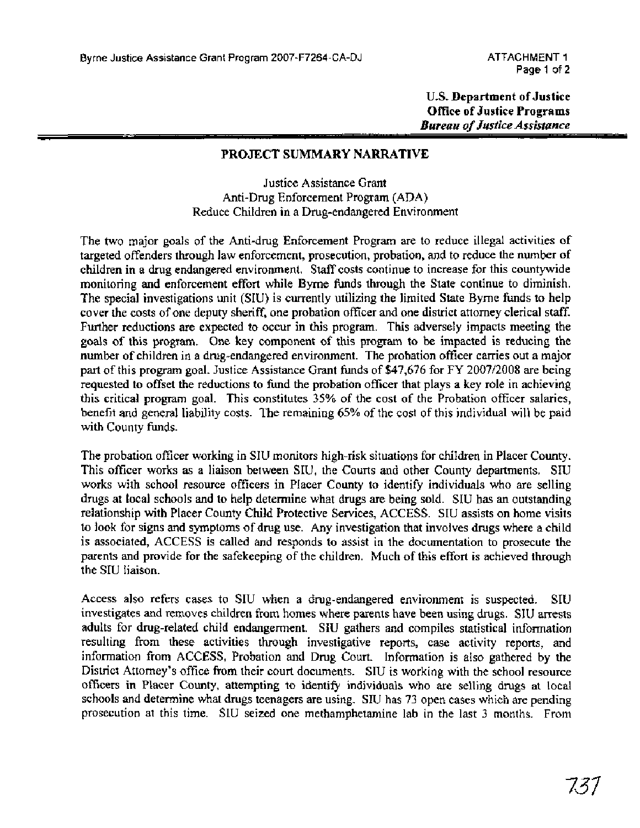**U.S. Department of Justice Office of Justice Programs**  *Bureau of Justice Assistance* 

#### **PROJECT SUMMARY NARRATIVE**

Justice Assistance Grant Anti-Drug Enforcement Program (ADA) Reduce Children in a Drug-endangered Environment

The two major goals of the Anti-drug Enforcement Program are to reduce illegal activities of targeted offenders through law enforcement, prosecution, probation, and to reduce the number of children in a drug endangered environment. Staff costs continue to increase for this countywide monitoring and enforcement effort while Byrne funds through the State continue to diminish. The special investigations unit (SIU) is currently utilizing the limited State Byrne funds to help cover the costs of one deputy sheriff, one probation officer and one district attorney clerical staff. Further reductions are expected to occur in this program. This adversely impacts meeting the goals of this program. One key component of this program to be impacted is reducing the number of children in a drug-endangered environment. The probation officer carries out a major part of this program goal. Justice Assistance Grant funds of \$47,676 for FY 2007/2008 are being requested to offset the reductions to fund the probation officer that plays a key role in achieving this critical program goal. This constitutes 35% of the cost of the Probation officer salaries, benefit and general liability costs. The remaining *65%* of the cost of this individual will be paid with County funds.

The probation officer working in SIU monitors high-risk situations for children in Placer County. This officer works as a liaison between SIU, the Courts and other County departments. SIU works with school resource officers in Placer County to identify individuals who are selling drugs at local schools and to help determine what drugs are being sold. SIU has an outstanding relationship with Placer County Child Protective Services, ACCESS. SIU assists on home visits to look for signs and symptoms of drug use. Any investigation that involves drugs where a child is associated, ACCESS is called and responds to assist in the documentation to prosecute the parents and provide for the safekeeping of the children. Much of this effort is achieved through the SIU liaison.

Access also refers cases to SIU when a drug-endangered environment is suspected. SIU investigates and removes children fiom homes where parents have been using drugs. SIU arrests adults for drug-related child endangerment. SIU gathers and compiles statistical information resulting fiom these activities through investigative reports, case activity reports, and information from ACCESS, Probation and Drug Court. Information is also gathered by the District Attorney's office ffom their court documents. SIU is working with the school resource officers in Placer County, attempting to identify individuals who are selling drugs at local schools and determine what drugs teenagers are using. SIU has 73 open cases which are pending prosecution at this time. SIU seized one methamphetamine lab in the last 3 months. From